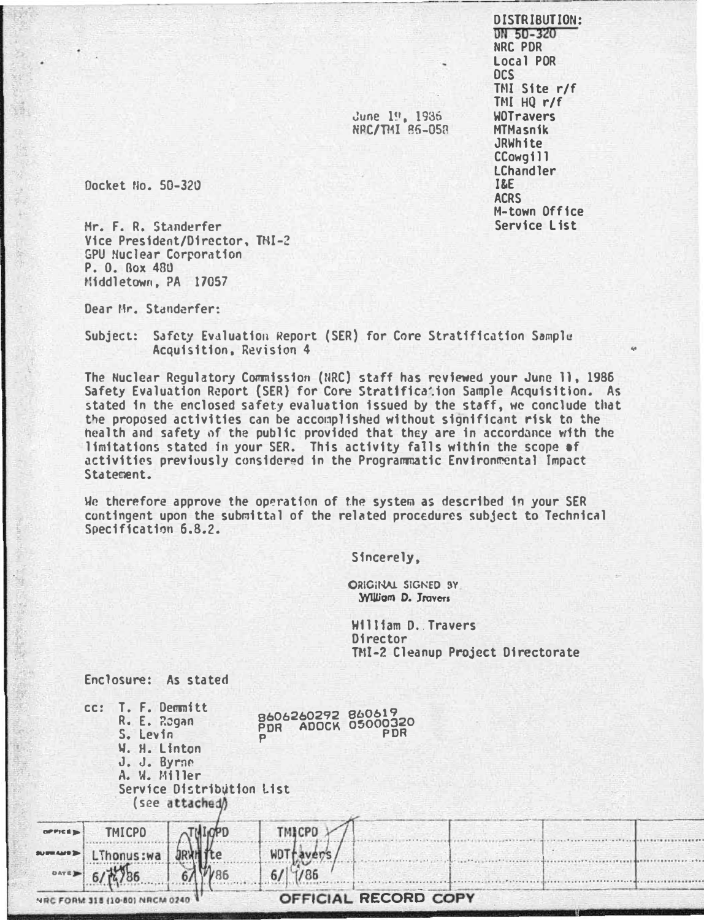**DISTRIBUTION:** DN 50-320 NRC PDR Local POR **DCS** TMI Site r/f TMI  $HQ r/f$ **WOTravers MTMasnik** JRWhite CCowgill I Chandler **I&E ACRS** M-town Office Service List

Docket No. 50-320

頭

Mr. F. R. Standerfer Vice President/Director, TNI-2 GPU Nuclear Corporation P. O. Box 480 Middletown. PA 17057

Dear Mr. Standerfer:

Subject: Safety Evaluation Report (SER) for Core Stratification Sample Acquisition, Revision 4

The Nuclear Requiatory Commission (NRC) staff has reviewed your June 11, 1986 Safety Evaluation Report (SER) for Core Stratification Sample Acquisition. As stated in the enclosed safety evaluation issued by the staff, we conclude that the proposed activities can be accomplished without significant risk to the health and safety of the public provided that they are in accordance with the limitations stated in your SER. This activity falls within the scope of activities previously considered in the Programmatic Environmental Impact Statement.

We therefore approve the operation of the system as described in your SER contingent upon the submittal of the related procedures subject to Technical Specification 6.8.2.

Sincerely.

ORIGINAL SIGNED BY **William D. Travers** 

June 19, 1936<br>NRC/TMI 86-058

**William D. Travers** Director TMI-2 Cleanup Project Directorate

Enclosure: As stated

|             | cc: T. F. Demnitt<br>R. E. Rogan<br>S. Levin<br>W. H. Linton<br>J. J. Byrne<br>A. W. Miller | Service Distribution List<br>(see attached) | 8606260292 860619<br>PDR ADOCK 05000320 | <b>PDR</b>           |  |  |
|-------------|---------------------------------------------------------------------------------------------|---------------------------------------------|-----------------------------------------|----------------------|--|--|
| OPPICE      | <b>TMICPO</b>                                                                               |                                             | <b>TMICPO</b>                           |                      |  |  |
| SUPERAIN 3  | nus:wa                                                                                      |                                             |                                         |                      |  |  |
| <b>DATE</b> |                                                                                             |                                             |                                         |                      |  |  |
|             |                                                                                             |                                             |                                         | OFFICIAL RECORD COPY |  |  |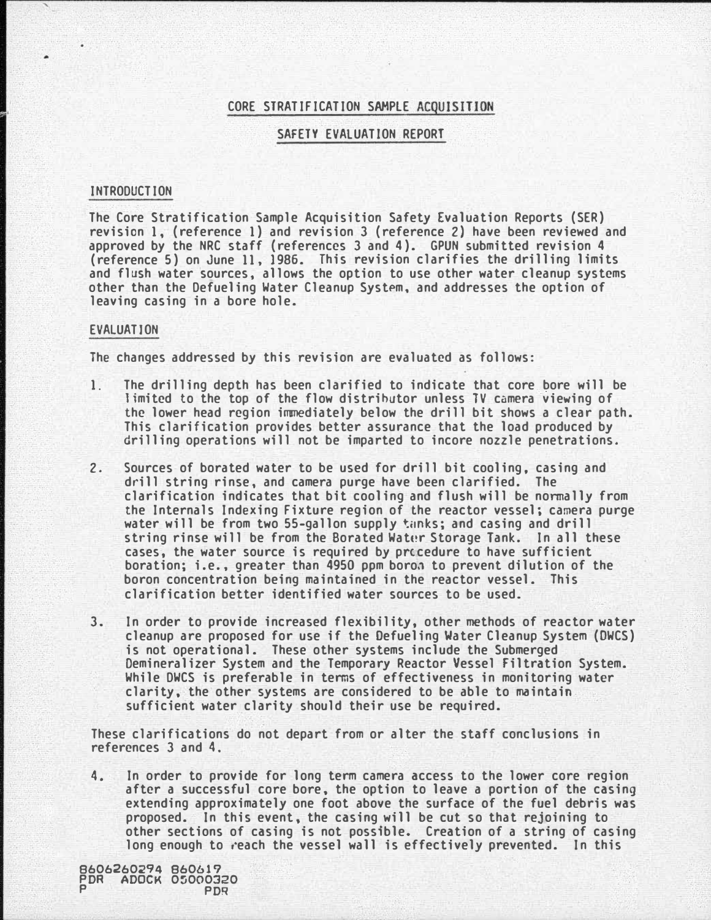# CORE STRATIFICATION SAMPLE ACQUISITION

#### SAFETY EVALUATION REPORT

# INTRODUCTION

'

The Core Stratification Sample Acquisition Safety Evaluation Reports (SER) revision 1, (reference 1) and revision 3 (reference 2) have been reviewed and approved by the NRC staff (references 3 and 4). GPUN submitted revision 4 (reference 5) on June 11, 1986. This revision clarifies the drilling limits and flush water sources, allows the option to use other water cleanup systems other than the Defueling Water Cleanup System, and addresses the option of leaving casing in a bore hole.

### EVALUATION

The changes addressed by this revision are evaluated as follows:

- 1. The drilling depth has been clarified to indicate that core bore will be 1 imited to the top of the flow distrihutor unless TV camera viewing of the lower head region immediately below the drill bit shows a clear path. This clarification provides better assurance that the load produced by drilling operations will not be imparted to incore nozzle penetrations.
- 2. Sources of borated water to be used for drill bit cooling, casing and drill string rinse, and camera purge have been clarified. The clarification indicates that bit cooling and flush will be nonmally from the Internals Indexing Fixture region of the reactor vessel; camera purge water will be from two 55-gallon supply tanks; and casing and drill string rinse will be from the Borated Water Storage Tank. In all these cases, the water source is required by procedure to have sufficient boration; i.e., greater than 4950 ppm boron to prevent dilution of the boron concentration being maintained in the reactor vessel. This clarification better identified water sources to be used.
- 3. In order to provide increased flexibility, other methods of reactor water cleanup are proposed for use if the Defueling Water Cleanup System (OWCS) is not operational. These other systems include the Submerged Oemineralizer System and the Temporary Reactor Vessel Filtration System. While DWCS is preferable in terms of effectiveness in monitoring water clarity, the other systems are considered to be able to maintain sufficient water clarity should their use be required.

These clarifications do not depart from or alter the staff conclusions in references 3 and 4.

4. In order to provide for long term camera access to the lower core region after a successful core bore, the option to leave a portion of the casing extending approximately one foot above the surface of the fuel debris was proposed. In this event, the casing will be cut so that rejoining to other sections of casing is not possible. Creation of a string of casing long enough to reach the vessel wall is effectively prevented. In this

8606260294 860619 **ADOCK 05000320** P PDR L..\_ \_\_\_\_\_\_\_ \_ \_ \_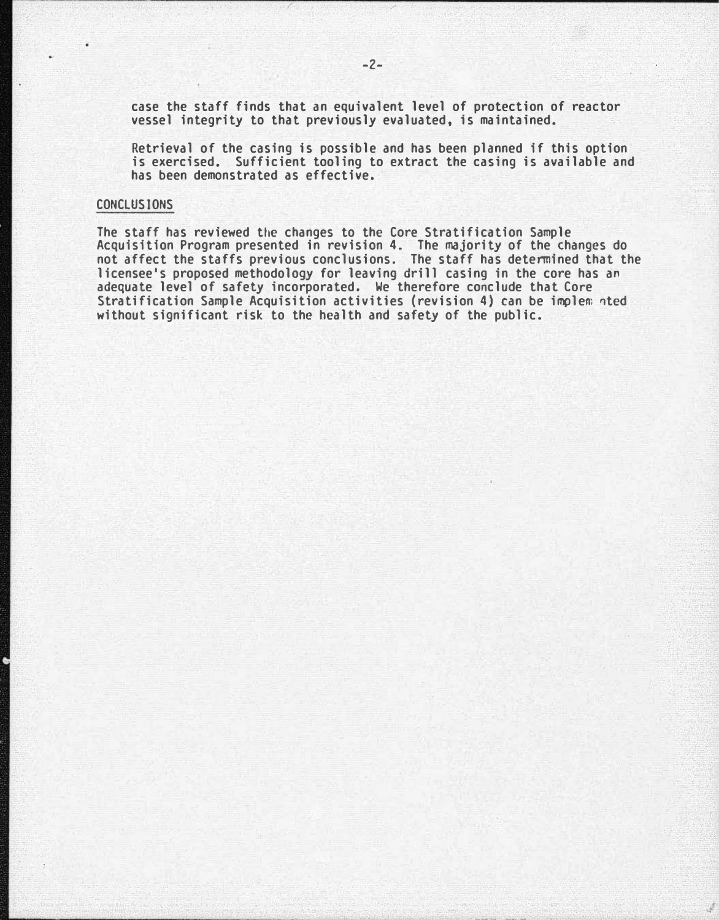case the staff finds that an equivalent level of protection of reactor vessel integrity to that previously evaluated, is maintained.

Retrieval of the casing is possible and has been planned if this option is exercised. Sufficient tooling to extract the casing is available and has been demonstrated as effective.

### CONCLUSIONS

The staff has reviewed the changes to the Core Stratification Sample Acquisition Program presented in revision 4. The majority of the changes do not affect the staffs previous conclusions. The staff has determined that the licensee's proposed methodology for leaving drill casing in the core has an adequate level of safety incorporated. We therefore conclude that Core Stratification Sample Acquisition activities (revision 4) can be implem �ted without significant risk to the health and safety of the public.

-----------------""--'--'-'-"--"-----�--------------- ----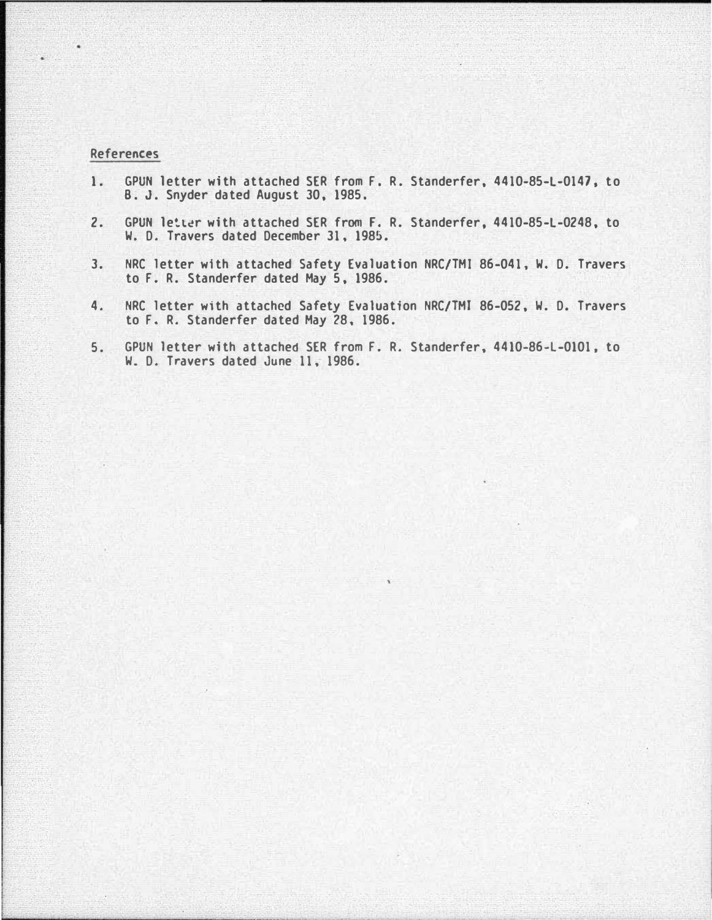# References

- 1. GPUN letter with attached SER from F. R. Standerfer, 4410-85-L-0147, to B. J. Snyder dated August 30, 1985.
- 2. GPUN letter with attached SER from F. R. Standerfer, 4410-85-L-0248, to W. D. Travers dated December 31, 1985.
- 3. NRC letter with attached Safety Evaluation NRC/TMI 86-041, W. D. Travers to F. R. Standerfer dated May 5, 1986.
- 4. NRC letter with attached Safety Evaluation NRC/TMJ 86-052, W. D. Travers to F. R. Standerfer dated May 28, 1986.
- 5. GPUN letter with attached SER from F. R. Standerfer, 4410-86-L-0101, to W. D. Travers dated June 11, 1986.